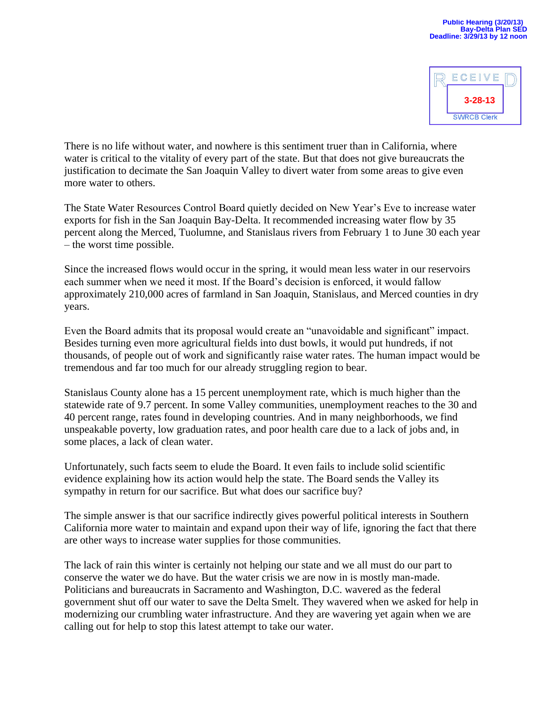

There is no life without water, and nowhere is this sentiment truer than in California, where water is critical to the vitality of every part of the state. But that does not give bureaucrats the justification to decimate the San Joaquin Valley to divert water from some areas to give even more water to others.

The State Water Resources Control Board quietly decided on New Year's Eve to increase water exports for fish in the San Joaquin Bay-Delta. It recommended increasing water flow by 35 percent along the Merced, Tuolumne, and Stanislaus rivers from February 1 to June 30 each year – the worst time possible.

Since the increased flows would occur in the spring, it would mean less water in our reservoirs each summer when we need it most. If the Board's decision is enforced, it would fallow approximately 210,000 acres of farmland in San Joaquin, Stanislaus, and Merced counties in dry years.

Even the Board admits that its proposal would create an "unavoidable and significant" impact. Besides turning even more agricultural fields into dust bowls, it would put hundreds, if not thousands, of people out of work and significantly raise water rates. The human impact would be tremendous and far too much for our already struggling region to bear.

Stanislaus County alone has a 15 percent unemployment rate, which is much higher than the statewide rate of 9.7 percent. In some Valley communities, unemployment reaches to the 30 and 40 percent range, rates found in developing countries. And in many neighborhoods, we find unspeakable poverty, low graduation rates, and poor health care due to a lack of jobs and, in some places, a lack of clean water.

Unfortunately, such facts seem to elude the Board. It even fails to include solid scientific evidence explaining how its action would help the state. The Board sends the Valley its sympathy in return for our sacrifice. But what does our sacrifice buy?

The simple answer is that our sacrifice indirectly gives powerful political interests in Southern California more water to maintain and expand upon their way of life, ignoring the fact that there are other ways to increase water supplies for those communities.

The lack of rain this winter is certainly not helping our state and we all must do our part to conserve the water we do have. But the water crisis we are now in is mostly man-made. Politicians and bureaucrats in Sacramento and Washington, D.C. wavered as the federal government shut off our water to save the Delta Smelt. They wavered when we asked for help in modernizing our crumbling water infrastructure. And they are wavering yet again when we are calling out for help to stop this latest attempt to take our water.